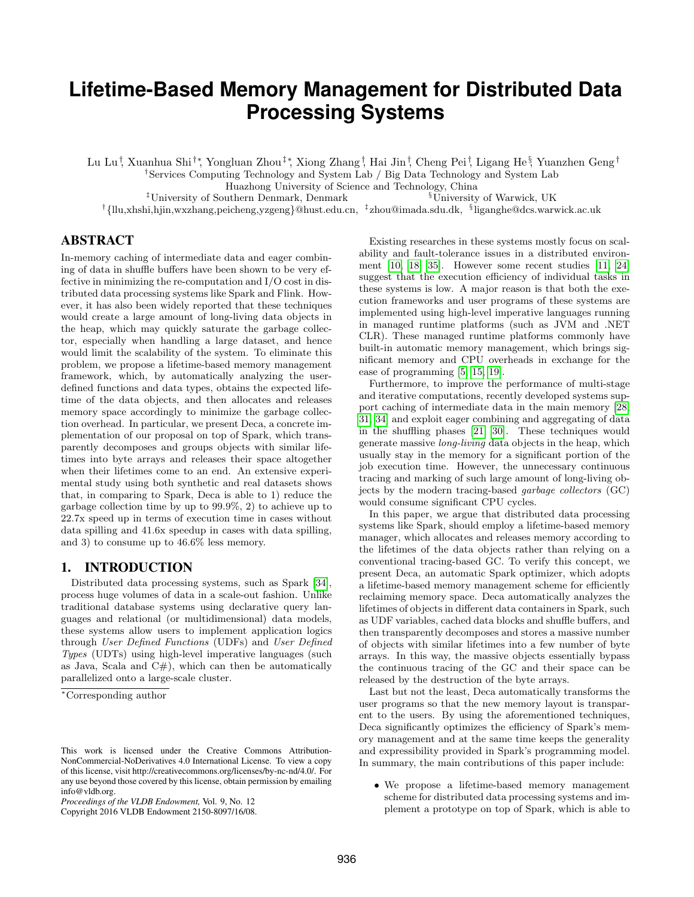# **Lifetime-Based Memory Management for Distributed Data Processing Systems**

Lu Lu† Xuanhua Shi†\*, Yongluan Zhou‡\*, Xiong Zhang† Hai Jin† Cheng Pei† Ligang He§ Yuanzhen Geng† †Services Computing Technology and System Lab / Big Data Technology and System Lab

Huazhong University of Science and Technology, China

‡University of Southern Denmark, Denmark §University of Warwick, UK

† {llu,xhshi,hjin,wxzhang,peicheng,yzgeng}@hust.edu.cn, ‡ zhou@imada.sdu.dk, § liganghe@dcs.warwick.ac.uk

# ABSTRACT

In-memory caching of intermediate data and eager combining of data in shuffle buffers have been shown to be very effective in minimizing the re-computation and I/O cost in distributed data processing systems like Spark and Flink. However, it has also been widely reported that these techniques would create a large amount of long-living data objects in the heap, which may quickly saturate the garbage collector, especially when handling a large dataset, and hence would limit the scalability of the system. To eliminate this problem, we propose a lifetime-based memory management framework, which, by automatically analyzing the userdefined functions and data types, obtains the expected lifetime of the data objects, and then allocates and releases memory space accordingly to minimize the garbage collection overhead. In particular, we present Deca, a concrete implementation of our proposal on top of Spark, which transparently decomposes and groups objects with similar lifetimes into byte arrays and releases their space altogether when their lifetimes come to an end. An extensive experimental study using both synthetic and real datasets shows that, in comparing to Spark, Deca is able to 1) reduce the garbage collection time by up to 99.9%, 2) to achieve up to 22.7x speed up in terms of execution time in cases without data spilling and 41.6x speedup in cases with data spilling, and 3) to consume up to 46.6% less memory.

### 1. INTRODUCTION

Distributed data processing systems, such as Spark [\[34\]](#page-11-0), process huge volumes of data in a scale-out fashion. Unlike traditional database systems using declarative query languages and relational (or multidimensional) data models, these systems allow users to implement application logics through User Defined Functions (UDFs) and User Defined Types (UDTs) using high-level imperative languages (such as Java, Scala and  $C#$ ), which can then be automatically parallelized onto a large-scale cluster.

Copyright 2016 VLDB Endowment 2150-8097/16/08.

Existing researches in these systems mostly focus on scalability and fault-tolerance issues in a distributed environment [\[10,](#page-11-1) [18,](#page-11-2) [35\]](#page-11-3). However some recent studies [\[11,](#page-11-4) [24\]](#page-11-5) suggest that the execution efficiency of individual tasks in these systems is low. A major reason is that both the execution frameworks and user programs of these systems are implemented using high-level imperative languages running in managed runtime platforms (such as JVM and .NET CLR). These managed runtime platforms commonly have built-in automatic memory management, which brings significant memory and CPU overheads in exchange for the ease of programming [\[5,](#page-11-6) [15,](#page-11-7) [19\]](#page-11-8).

Furthermore, to improve the performance of multi-stage and iterative computations, recently developed systems support caching of intermediate data in the main memory [\[28,](#page-11-9) [31,](#page-11-10) [34\]](#page-11-0) and exploit eager combining and aggregating of data in the shuffling phases [\[21,](#page-11-11) [30\]](#page-11-12). These techniques would generate massive long-living data objects in the heap, which usually stay in the memory for a significant portion of the job execution time. However, the unnecessary continuous tracing and marking of such large amount of long-living objects by the modern tracing-based garbage collectors (GC) would consume significant CPU cycles.

In this paper, we argue that distributed data processing systems like Spark, should employ a lifetime-based memory manager, which allocates and releases memory according to the lifetimes of the data objects rather than relying on a conventional tracing-based GC. To verify this concept, we present Deca, an automatic Spark optimizer, which adopts a lifetime-based memory management scheme for efficiently reclaiming memory space. Deca automatically analyzes the lifetimes of objects in different data containers in Spark, such as UDF variables, cached data blocks and shuffle buffers, and then transparently decomposes and stores a massive number of objects with similar lifetimes into a few number of byte arrays. In this way, the massive objects essentially bypass the continuous tracing of the GC and their space can be released by the destruction of the byte arrays.

Last but not the least, Deca automatically transforms the user programs so that the new memory layout is transparent to the users. By using the aforementioned techniques, Deca significantly optimizes the efficiency of Spark's memory management and at the same time keeps the generality and expressibility provided in Spark's programming model. In summary, the main contributions of this paper include:

• We propose a lifetime-based memory management scheme for distributed data processing systems and implement a prototype on top of Spark, which is able to

<sup>∗</sup>Corresponding author

This work is licensed under the Creative Commons Attribution-NonCommercial-NoDerivatives 4.0 International License. To view a copy of this license, visit http://creativecommons.org/licenses/by-nc-nd/4.0/. For any use beyond those covered by this license, obtain permission by emailing info@vldb.org.

*Proceedings of the VLDB Endowment,* Vol. 9, No. 12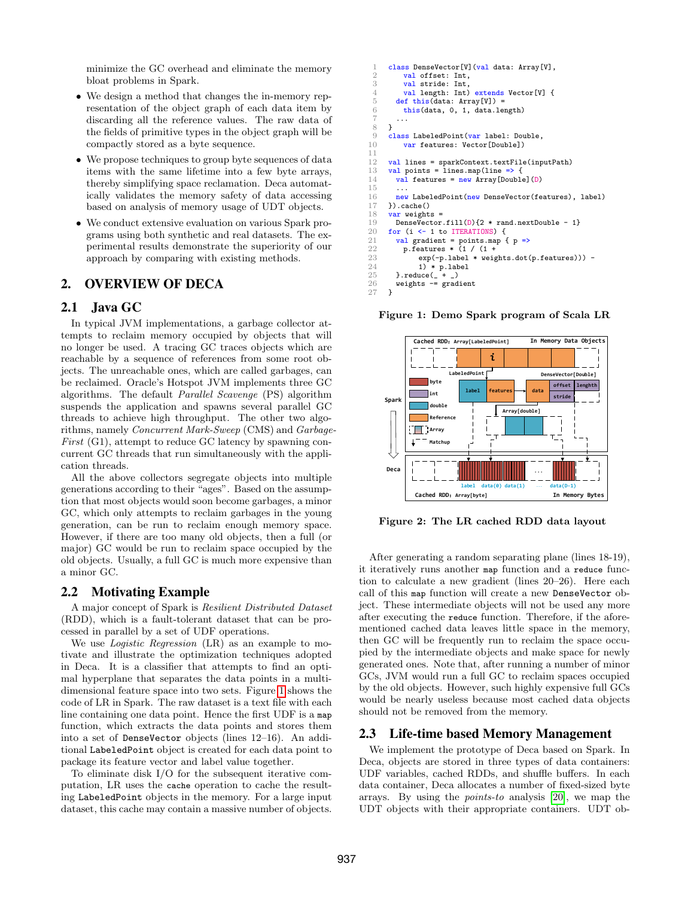minimize the GC overhead and eliminate the memory bloat problems in Spark.

- We design a method that changes the in-memory representation of the object graph of each data item by discarding all the reference values. The raw data of the fields of primitive types in the object graph will be compactly stored as a byte sequence.
- We propose techniques to group byte sequences of data items with the same lifetime into a few byte arrays, thereby simplifying space reclamation. Deca automatically validates the memory safety of data accessing based on analysis of memory usage of UDT objects.
- We conduct extensive evaluation on various Spark programs using both synthetic and real datasets. The experimental results demonstrate the superiority of our approach by comparing with existing methods.

## 2. OVERVIEW OF DECA

### 2.1 Java GC

In typical JVM implementations, a garbage collector attempts to reclaim memory occupied by objects that will no longer be used. A tracing GC traces objects which are reachable by a sequence of references from some root objects. The unreachable ones, which are called garbages, can be reclaimed. Oracle's Hotspot JVM implements three GC algorithms. The default Parallel Scavenge (PS) algorithm suspends the application and spawns several parallel GC threads to achieve high throughput. The other two algorithms, namely Concurrent Mark-Sweep (CMS) and Garbage-First (G1), attempt to reduce GC latency by spawning concurrent GC threads that run simultaneously with the application threads.

All the above collectors segregate objects into multiple generations according to their "ages". Based on the assumption that most objects would soon become garbages, a minor GC, which only attempts to reclaim garbages in the young generation, can be run to reclaim enough memory space. However, if there are too many old objects, then a full (or major) GC would be run to reclaim space occupied by the old objects. Usually, a full GC is much more expensive than a minor GC.

### 2.2 Motivating Example

A major concept of Spark is Resilient Distributed Dataset (RDD), which is a fault-tolerant dataset that can be processed in parallel by a set of UDF operations.

We use Logistic Regression (LR) as an example to motivate and illustrate the optimization techniques adopted in Deca. It is a classifier that attempts to find an optimal hyperplane that separates the data points in a multidimensional feature space into two sets. Figure [1](#page-1-0) shows the code of LR in Spark. The raw dataset is a text file with each line containing one data point. Hence the first UDF is a map function, which extracts the data points and stores them into a set of DenseVector objects (lines 12–16). An additional LabeledPoint object is created for each data point to package its feature vector and label value together.

To eliminate disk I/O for the subsequent iterative computation, LR uses the cache operation to cache the resulting LabeledPoint objects in the memory. For a large input dataset, this cache may contain a massive number of objects.

```
1 class DenseVector[V](val data: Array[V],<br>2 val offset: Int.
 2 val offset: Int,<br>3 val stride: Int,
  3 val stride: Int,<br>4 val length: Int)
 4 val length: Int) extends Vector[V] {<br>
\begin{bmatrix} 5 & \text{def this}(\text{data}: \text{Array}[V]) \end{bmatrix} =
 5 def this(data: Array[V]) = this(data, 0, 1, data.le
             this(data, 0, 1, data.length)
  7 ...
 \begin{matrix} 8 & 3 \\ 9 & 6 \end{matrix}class LabeledPoint(var label: Double.
10 var features: Vector[Double])
\begin{array}{c} 11 \\ 12 \end{array}12 val lines = sparkContext.textFile(inputPath)<br>13 val points = lines.map(line => {
13 val points = lines.map(line => {<br>14 val features = new Array[Double
          val features = new Array[Double](D)
15<br>1616 new LabeledPoint(new DenseVector(features), label)<br>17 }).cache()
17 }).cache()<br>18 var weight
\frac{18}{19} var weights =
          DenseVector.fill(D) {2 * rand.nextDouble - 1}
20 for (i \leq 1 to ITERATIONS) {<br>21 val gradient = points.map
21 val gradient = points.map { p =><br>22 p.features * (1 / (1 +
23 exp(-p.label * weights.dot(p.features))) -<br>24 1) * p.label
24 1) * p. label<br>
25 \text{}. reduce(_ + _)
26 weights - gradient<br>27 }
       \mathcal{F}
```
<span id="page-1-0"></span>Figure 1: Demo Spark program of Scala LR



<span id="page-1-1"></span>Figure 2: The LR cached RDD data layout

After generating a random separating plane (lines 18-19), it iteratively runs another map function and a reduce function to calculate a new gradient (lines 20–26). Here each call of this map function will create a new DenseVector object. These intermediate objects will not be used any more after executing the reduce function. Therefore, if the aforementioned cached data leaves little space in the memory, then GC will be frequently run to reclaim the space occupied by the intermediate objects and make space for newly generated ones. Note that, after running a number of minor GCs, JVM would run a full GC to reclaim spaces occupied by the old objects. However, such highly expensive full GCs would be nearly useless because most cached data objects should not be removed from the memory.

### 2.3 Life-time based Memory Management

We implement the prototype of Deca based on Spark. In Deca, objects are stored in three types of data containers: UDF variables, cached RDDs, and shuffle buffers. In each data container, Deca allocates a number of fixed-sized byte arrays. By using the points-to analysis [\[20\]](#page-11-13), we map the UDT objects with their appropriate containers. UDT ob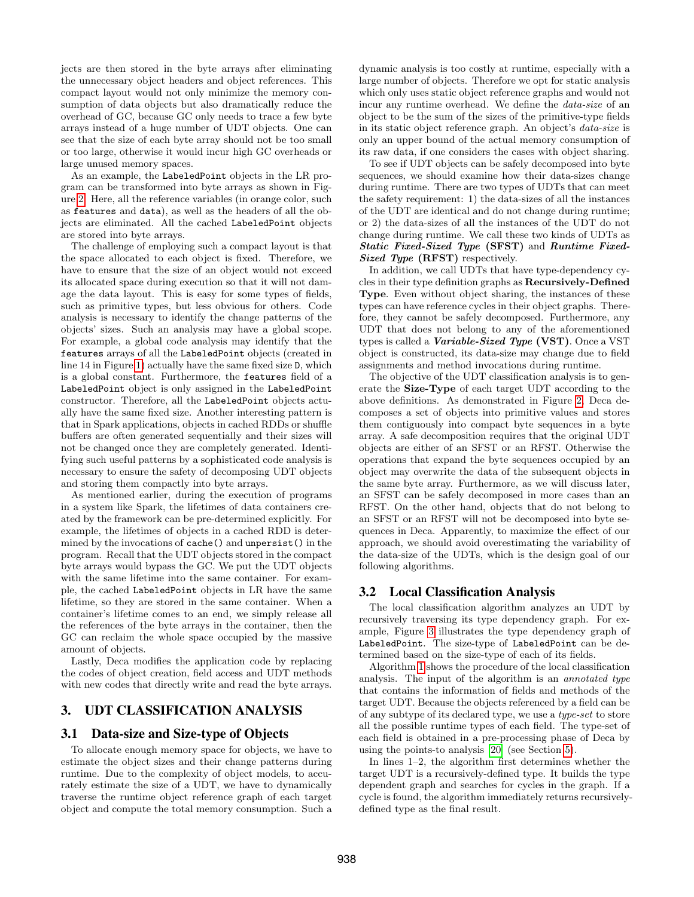jects are then stored in the byte arrays after eliminating the unnecessary object headers and object references. This compact layout would not only minimize the memory consumption of data objects but also dramatically reduce the overhead of GC, because GC only needs to trace a few byte arrays instead of a huge number of UDT objects. One can see that the size of each byte array should not be too small or too large, otherwise it would incur high GC overheads or large unused memory spaces.

As an example, the LabeledPoint objects in the LR program can be transformed into byte arrays as shown in Figure [2.](#page-1-1) Here, all the reference variables (in orange color, such as features and data), as well as the headers of all the objects are eliminated. All the cached LabeledPoint objects are stored into byte arrays.

The challenge of employing such a compact layout is that the space allocated to each object is fixed. Therefore, we have to ensure that the size of an object would not exceed its allocated space during execution so that it will not damage the data layout. This is easy for some types of fields, such as primitive types, but less obvious for others. Code analysis is necessary to identify the change patterns of the objects' sizes. Such an analysis may have a global scope. For example, a global code analysis may identify that the features arrays of all the LabeledPoint objects (created in line 14 in Figure [1\)](#page-1-0) actually have the same fixed size D, which is a global constant. Furthermore, the features field of a LabeledPoint object is only assigned in the LabeledPoint constructor. Therefore, all the LabeledPoint objects actually have the same fixed size. Another interesting pattern is that in Spark applications, objects in cached RDDs or shuffle buffers are often generated sequentially and their sizes will not be changed once they are completely generated. Identifying such useful patterns by a sophisticated code analysis is necessary to ensure the safety of decomposing UDT objects and storing them compactly into byte arrays.

As mentioned earlier, during the execution of programs in a system like Spark, the lifetimes of data containers created by the framework can be pre-determined explicitly. For example, the lifetimes of objects in a cached RDD is determined by the invocations of cache() and unpersist() in the program. Recall that the UDT objects stored in the compact byte arrays would bypass the GC. We put the UDT objects with the same lifetime into the same container. For example, the cached LabeledPoint objects in LR have the same lifetime, so they are stored in the same container. When a container's lifetime comes to an end, we simply release all the references of the byte arrays in the container, then the GC can reclaim the whole space occupied by the massive amount of objects.

Lastly, Deca modifies the application code by replacing the codes of object creation, field access and UDT methods with new codes that directly write and read the byte arrays.

### <span id="page-2-0"></span>3. UDT CLASSIFICATION ANALYSIS

### 3.1 Data-size and Size-type of Objects

To allocate enough memory space for objects, we have to estimate the object sizes and their change patterns during runtime. Due to the complexity of object models, to accurately estimate the size of a UDT, we have to dynamically traverse the runtime object reference graph of each target object and compute the total memory consumption. Such a dynamic analysis is too costly at runtime, especially with a large number of objects. Therefore we opt for static analysis which only uses static object reference graphs and would not incur any runtime overhead. We define the data-size of an object to be the sum of the sizes of the primitive-type fields in its static object reference graph. An object's data-size is only an upper bound of the actual memory consumption of its raw data, if one considers the cases with object sharing.

To see if UDT objects can be safely decomposed into byte sequences, we should examine how their data-sizes change during runtime. There are two types of UDTs that can meet the safety requirement: 1) the data-sizes of all the instances of the UDT are identical and do not change during runtime; or 2) the data-sizes of all the instances of the UDT do not change during runtime. We call these two kinds of UDTs as Static Fixed-Sized Type (SFST) and Runtime Fixed-Sized Type (RFST) respectively.

In addition, we call UDTs that have type-dependency cycles in their type definition graphs as Recursively-Defined Type. Even without object sharing, the instances of these types can have reference cycles in their object graphs. Therefore, they cannot be safely decomposed. Furthermore, any UDT that does not belong to any of the aforementioned types is called a Variable-Sized Type (VST). Once a VST object is constructed, its data-size may change due to field assignments and method invocations during runtime.

The objective of the UDT classification analysis is to generate the Size-Type of each target UDT according to the above definitions. As demonstrated in Figure [2,](#page-1-1) Deca decomposes a set of objects into primitive values and stores them contiguously into compact byte sequences in a byte array. A safe decomposition requires that the original UDT objects are either of an SFST or an RFST. Otherwise the operations that expand the byte sequences occupied by an object may overwrite the data of the subsequent objects in the same byte array. Furthermore, as we will discuss later, an SFST can be safely decomposed in more cases than an RFST. On the other hand, objects that do not belong to an SFST or an RFST will not be decomposed into byte sequences in Deca. Apparently, to maximize the effect of our approach, we should avoid overestimating the variability of the data-size of the UDTs, which is the design goal of our following algorithms.

### 3.2 Local Classification Analysis

The local classification algorithm analyzes an UDT by recursively traversing its type dependency graph. For example, Figure [3](#page-3-0) illustrates the type dependency graph of LabeledPoint. The size-type of LabeledPoint can be determined based on the size-type of each of its fields.

Algorithm [1](#page-3-1) shows the procedure of the local classification analysis. The input of the algorithm is an annotated type that contains the information of fields and methods of the target UDT. Because the objects referenced by a field can be of any subtype of its declared type, we use a type-set to store all the possible runtime types of each field. The type-set of each field is obtained in a pre-processing phase of Deca by using the points-to analysis [\[20\]](#page-11-13) (see Section [5\)](#page-7-0).

In lines 1–2, the algorithm first determines whether the target UDT is a recursively-defined type. It builds the type dependent graph and searches for cycles in the graph. If a cycle is found, the algorithm immediately returns recursivelydefined type as the final result.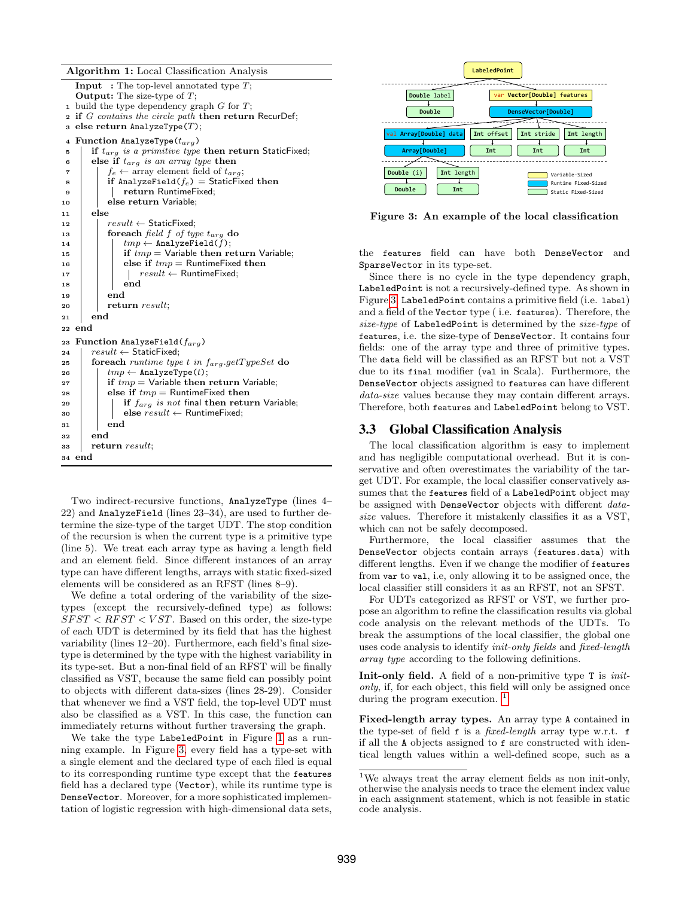Algorithm 1: Local Classification Analysis

**Input** : The top-level annotated type  $T$ ; **Output:** The size-type of  $T$ ; build the type dependency graph  $G$  for  $T$ ;  $2$  if G contains the circle path then return RecurDef; 3 else return AnalyzeType $(T)$ ; 4 Function AnalyzeType $(t_{arg})$ 5 if  $t_{arg}$  is a primitive type then return StaticFixed;<br>6 else if  $t_{arg}$  is an array type then else if  $t_{\alpha r q}$  is an array type then 7  $\vert \vert$  f<sub>e</sub>  $\leftarrow$  array element field of  $t_{arg}$ ; 8 if AnalyzeField( $f_e$ ) = StaticFixed then<br>9 eturn RuntimeFixed: return RuntimeFixed; 10 | else return Variable; <sup>11</sup> else 12 |  $\vert$   $result \leftarrow$  StaticFixed; 13 **for any** foreach field f of type  $t_{arg}$  do 14  $\vert$   $\vert$   $\vert$   $\vert$   $tmp \leftarrow$  AnalyzeField(f); 15  $\vert$   $\vert$  if  $tmp = \text{Variable}$  then return Variable;  $16$   $\parallel$   $\parallel$  else if  $tmp =$  RuntimeFixed then 17 | | |  $result \leftarrow$  RuntimeFixed;  $18$  | | | end 19 end  $20$  return result: <sup>21</sup> end <sup>22</sup> end 23 Function AnalyzeField( $f_{arg}$ )<br>24 | result  $\leftarrow$  StaticFixed:  $result \leftarrow \text{StaticFixed};$ 25 **foreach** runtime type t in  $f_{arg}.getTypeSet$  do 26  $\vert$   $\vert$   $tmp \leftarrow$  AnalyzeType(*t*); 27 if  $tmp = Variable$  then return Variable; 28 | else if  $tmp =$  RuntimeFixed then 29  $\parallel$  if  $f_{arg}$  is not final then return Variable;  $30$  | else  $result \leftarrow$  RuntimeFixed;  $31$  end <sup>32</sup> end <sup>33</sup> return result; <sup>34</sup> end

<span id="page-3-1"></span>Two indirect-recursive functions, AnalyzeType (lines 4– 22) and AnalyzeField (lines 23–34), are used to further determine the size-type of the target UDT. The stop condition of the recursion is when the current type is a primitive type (line 5). We treat each array type as having a length field and an element field. Since different instances of an array type can have different lengths, arrays with static fixed-sized elements will be considered as an RFST (lines 8–9).

We define a total ordering of the variability of the sizetypes (except the recursively-defined type) as follows:  $SFST < RFST < VST$ . Based on this order, the size-type of each UDT is determined by its field that has the highest variability (lines 12–20). Furthermore, each field's final sizetype is determined by the type with the highest variability in its type-set. But a non-final field of an RFST will be finally classified as VST, because the same field can possibly point to objects with different data-sizes (lines 28-29). Consider that whenever we find a VST field, the top-level UDT must also be classified as a VST. In this case, the function can immediately returns without further traversing the graph.

We take the type LabeledPoint in Figure [1](#page-1-0) as a running example. In Figure [3,](#page-3-0) every field has a type-set with a single element and the declared type of each filed is equal to its corresponding runtime type except that the features field has a declared type (Vector), while its runtime type is DenseVector. Moreover, for a more sophisticated implementation of logistic regression with high-dimensional data sets,



<span id="page-3-0"></span>Figure 3: An example of the local classification

the features field can have both DenseVector and SparseVector in its type-set.

Since there is no cycle in the type dependency graph, LabeledPoint is not a recursively-defined type. As shown in Figure [3,](#page-3-0) LabeledPoint contains a primitive field (i.e. label) and a field of the Vector type ( i.e. features). Therefore, the size-type of LabeledPoint is determined by the size-type of features, i.e. the size-type of DenseVector. It contains four fields: one of the array type and three of primitive types. The data field will be classified as an RFST but not a VST due to its final modifier (val in Scala). Furthermore, the DenseVector objects assigned to features can have different data-size values because they may contain different arrays. Therefore, both features and LabeledPoint belong to VST.

### 3.3 Global Classification Analysis

The local classification algorithm is easy to implement and has negligible computational overhead. But it is conservative and often overestimates the variability of the target UDT. For example, the local classifier conservatively assumes that the features field of a LabeledPoint object may be assigned with DenseVector objects with different datasize values. Therefore it mistakenly classifies it as a VST, which can not be safely decomposed.

Furthermore, the local classifier assumes that the DenseVector objects contain arrays (features.data) with different lengths. Even if we change the modifier of features from var to val, i.e, only allowing it to be assigned once, the local classifier still considers it as an RFST, not an SFST.

For UDTs categorized as RFST or VST, we further propose an algorithm to refine the classification results via global code analysis on the relevant methods of the UDTs. To break the assumptions of the local classifier, the global one uses code analysis to identify init-only fields and fixed-length array type according to the following definitions.

Init-only field. A field of a non-primitive type T is *init*only, if, for each object, this field will only be assigned once during the program execution.  $\frac{1}{1}$  $\frac{1}{1}$  $\frac{1}{1}$ 

Fixed-length array types. An array type A contained in the type-set of field **f** is a *fixed-length* array type w.r.t. **f** if all the A objects assigned to f are constructed with identical length values within a well-defined scope, such as a

<span id="page-3-2"></span> $^1\rm{We}$  always treat the array element fields as non init-only, otherwise the analysis needs to trace the element index value in each assignment statement, which is not feasible in static code analysis.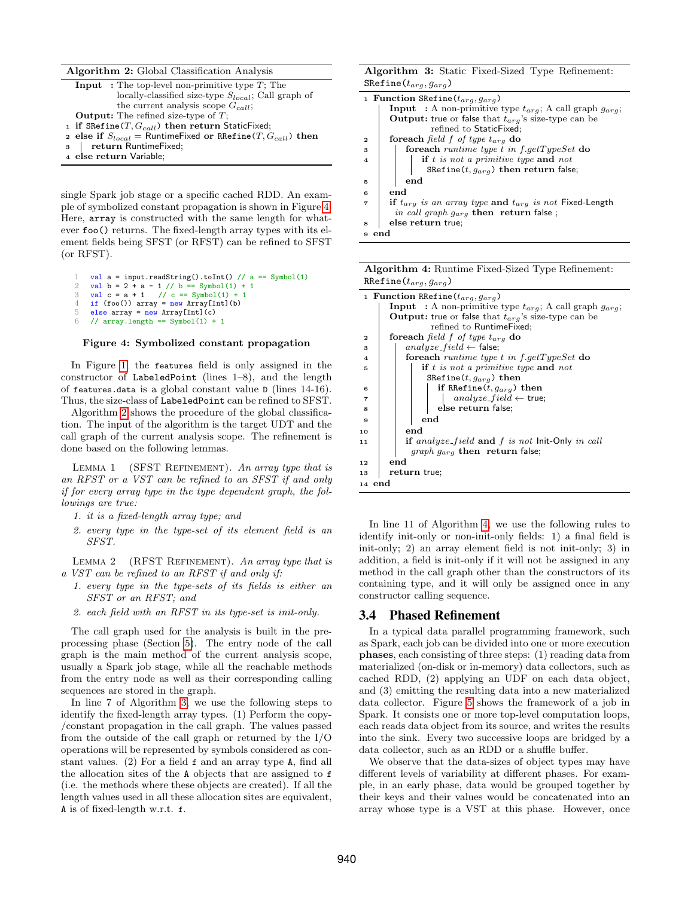#### Algorithm 2: Global Classification Analysis

| <b>Input</b> : The top-level non-primitive type $T$ ; The             |
|-----------------------------------------------------------------------|
| locally-classified size-type $S_{local}$ ; Call graph of              |
| the current analysis scope $G_{call}$ ;                               |
| <b>Output:</b> The refined size-type of $T$ ;                         |
| 1 if SRefine(T, $G_{call}$ ) then return StaticFixed;                 |
| 2 else if $S_{local}$ = Runtime Fixed or RRefine $(T, G_{call})$ then |
| 3   return RuntimeFixed;                                              |
| 4 else return Variable;                                               |

<span id="page-4-1"></span>single Spark job stage or a specific cached RDD. An example of symbolized constant propagation is shown in Figure [4.](#page-4-0) Here, array is constructed with the same length for whatever foo() returns. The fixed-length array types with its element fields being SFST (or RFST) can be refined to SFST (or RFST).

```
1 val a = input.readString().toInt() // a == Symbol(1)
2 val b = 2 + a - 1 // b == Symbol(1) + 1
3 val c = a + 1 // c == Symbol(1) + 1
4 if (foo()) array = new Array[Int](b)
5 else array = new Array [Int](c)<br>6 // array.length == Symbol(1) +
      // array.length == Symbol(1) + 1
```
#### <span id="page-4-0"></span>Figure 4: Symbolized constant propagation

In Figure [1,](#page-1-0) the features field is only assigned in the constructor of LabeledPoint (lines 1–8), and the length of features.data is a global constant value D (lines 14-16). Thus, the size-class of LabeledPoint can be refined to SFST.

Algorithm [2](#page-4-1) shows the procedure of the global classification. The input of the algorithm is the target UDT and the call graph of the current analysis scope. The refinement is done based on the following lemmas.

LEMMA 1 (SFST REFINEMENT). An array type that is an RFST or a VST can be refined to an SFST if and only if for every array type in the type dependent graph, the followings are true:

- 1. it is a fixed-length array type; and
- 2. every type in the type-set of its element field is an SFST.

LEMMA 2 (RFST REFINEMENT). An array type that is a VST can be refined to an RFST if and only if:

- 1. every type in the type-sets of its fields is either an SFST or an RFST; and
- 2. each field with an RFST in its type-set is init-only.

The call graph used for the analysis is built in the preprocessing phase (Section [5\)](#page-7-0). The entry node of the call graph is the main method of the current analysis scope, usually a Spark job stage, while all the reachable methods from the entry node as well as their corresponding calling sequences are stored in the graph.

In line 7 of Algorithm [3,](#page-4-2) we use the following steps to identify the fixed-length array types. (1) Perform the copy- /constant propagation in the call graph. The values passed from the outside of the call graph or returned by the I/O operations will be represented by symbols considered as constant values. (2) For a field f and an array type A, find all the allocation sites of the A objects that are assigned to f (i.e. the methods where these objects are created). If all the length values used in all these allocation sites are equivalent, A is of fixed-length w.r.t. f.

Algorithm 3: Static Fixed-Sized Type Refinement:  $\texttt{SRefine}({t_{arg}},{g_{arg}})$ 

|                         | 1 Function SRefine $(t_{arg}, g_{arg})$                                       |
|-------------------------|-------------------------------------------------------------------------------|
|                         | <b>Input</b> : A non-primitive type $t_{arg}$ ; A call graph $g_{arg}$ ;      |
|                         | <b>Output:</b> true or false that $t_{arg}$ 's size-type can be               |
|                         | refined to StaticFixed;                                                       |
| $\mathbf{z}$            | <b>foreach</b> field f of type $t_{arg}$ do                                   |
| 3                       | <b>foreach</b> runtime type t in f.getTypeSet $\bf{do}$                       |
| $\overline{\mathbf{4}}$ | if $t$ is not a primitive type and not                                        |
|                         | SRefine( $t, g_{arg}$ ) then return false;                                    |
| 5                       | end                                                                           |
| 6                       | end                                                                           |
| $\overline{7}$          | if $t_{\text{arg}}$ is an array type and $t_{\text{arg}}$ is not Fixed-Length |
|                         | in call graph $g_{arg}$ then return false;                                    |
| 8                       | else return true;                                                             |
| 9                       |                                                                               |

<span id="page-4-2"></span>Algorithm 4: Runtime Fixed-Sized Type Refinement:  $\texttt{RRefine}(t_{arg}, g_{arg})$ 

|                | 1 Function RRefine $(t_{arg}, q_{arg})$                                  |
|----------------|--------------------------------------------------------------------------|
|                | <b>Input</b> : A non-primitive type $t_{arg}$ ; A call graph $g_{arg}$ ; |
|                | <b>Output:</b> true or false that $t_{arg}$ 's size-type can be          |
|                | refined to RuntimeFixed;                                                 |
| $\mathbf{2}$   | foreach field f of type $t_{\alpha r q}$ do                              |
| 3              | analyze_field $\leftarrow$ false;                                        |
| $\overline{4}$ | <b>foreach</b> runtime type t in f.getTypeSet $\bf{do}$                  |
| 5              | <b>if</b> $t$ is not a primitive type and not                            |
|                | SRefine $(t, g_{ara})$ then                                              |
| 6              | if RRefine $(t, g_{arg})$ then                                           |
| 7              | $analyze_field \leftarrow true;$                                         |
| 8              | else return false;                                                       |
| 9              | end                                                                      |
| 10             | end                                                                      |
| 11             | <b>if</b> analyze_field and f is not lnit-Only in call                   |
|                | <i>graph</i> $g_{arg}$ then return false;                                |
| 12             | end                                                                      |
| 13             | return true;                                                             |
|                | 14 end                                                                   |

<span id="page-4-3"></span>In line 11 of Algorithm [4,](#page-4-3) we use the following rules to identify init-only or non-init-only fields: 1) a final field is init-only; 2) an array element field is not init-only; 3) in addition, a field is init-only if it will not be assigned in any method in the call graph other than the constructors of its containing type, and it will only be assigned once in any constructor calling sequence.

#### 3.4 Phased Refinement

In a typical data parallel programming framework, such as Spark, each job can be divided into one or more execution phases, each consisting of three steps: (1) reading data from materialized (on-disk or in-memory) data collectors, such as cached RDD, (2) applying an UDF on each data object, and (3) emitting the resulting data into a new materialized data collector. Figure [5](#page-5-0) shows the framework of a job in Spark. It consists one or more top-level computation loops, each reads data object from its source, and writes the results into the sink. Every two successive loops are bridged by a data collector, such as an RDD or a shuffle buffer.

We observe that the data-sizes of object types may have different levels of variability at different phases. For example, in an early phase, data would be grouped together by their keys and their values would be concatenated into an array whose type is a VST at this phase. However, once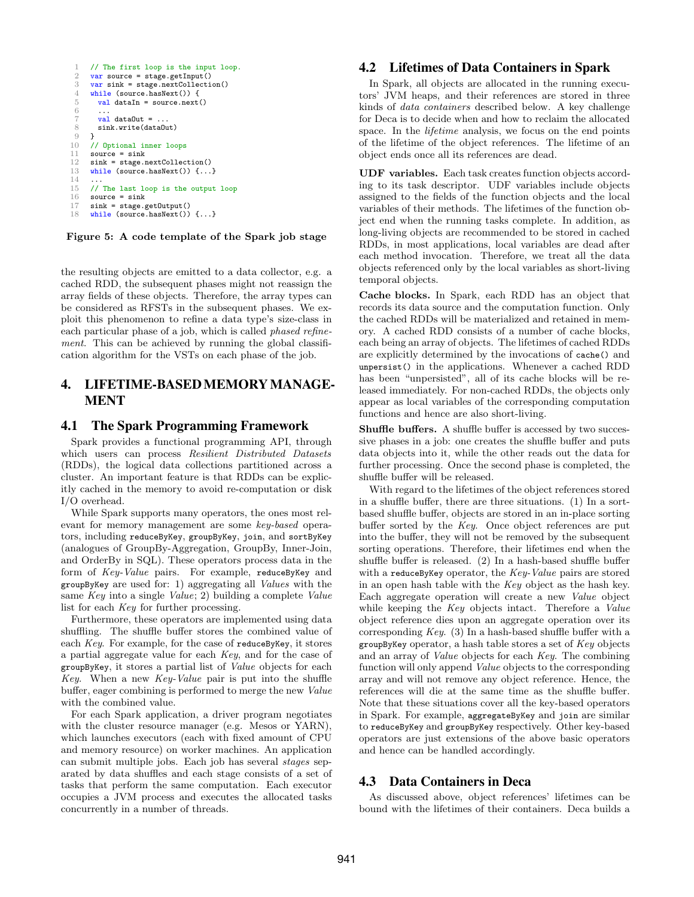```
1 // The first loop is the input loop.<br>2 war source = stage getInput()
 2 var source = stage.getInput()<br>3 var sink = stage.nextCollecti
  3 var sink = stage.nextCollection()<br>4 while (source.hasNext()) {
  4 while (source.hasNext()) {<br>5 val dataIn = source.next
          val dataIn = source.next()
  6 ...
  7 val dataOut = .<br>8 sink write(data
           sink.write(dataOut)
\begin{matrix} 9 & 3 \\ 10 & 7 \end{matrix}10 // Optional inner loops<br>11 source = sink
11 source = sink<br>12 sink = stage.r
        sink = stage.nextCollection()13 while (source.hasNext()) \{\ldots\}14 ...
15 // The last loop is the output loop<br>16 source = sink
16 source = sink<br>17 sink = stage.
17 sink = stage.getOutput()<br>18 while (source hasNext())
        while (source.hasNext()) \{... \}
```
<span id="page-5-0"></span>Figure 5: A code template of the Spark job stage

the resulting objects are emitted to a data collector, e.g. a cached RDD, the subsequent phases might not reassign the array fields of these objects. Therefore, the array types can be considered as RFSTs in the subsequent phases. We exploit this phenomenon to refine a data type's size-class in each particular phase of a job, which is called phased refinement. This can be achieved by running the global classification algorithm for the VSTs on each phase of the job.

# <span id="page-5-2"></span>4. LIFETIME-BASEDMEMORYMANAGE-MENT

### 4.1 The Spark Programming Framework

Spark provides a functional programming API, through which users can process Resilient Distributed Datasets (RDDs), the logical data collections partitioned across a cluster. An important feature is that RDDs can be explicitly cached in the memory to avoid re-computation or disk I/O overhead.

While Spark supports many operators, the ones most relevant for memory management are some key-based operators, including reduceByKey, groupByKey, join, and sortByKey (analogues of GroupBy-Aggregation, GroupBy, Inner-Join, and OrderBy in SQL). These operators process data in the form of Key-Value pairs. For example, reduceByKey and groupByKey are used for: 1) aggregating all Values with the same Key into a single Value; 2) building a complete Value list for each Key for further processing.

Furthermore, these operators are implemented using data shuffling. The shuffle buffer stores the combined value of each  $Key.$  For example, for the case of reduceByKey, it stores a partial aggregate value for each Key, and for the case of groupByKey, it stores a partial list of Value objects for each Key. When a new Key-Value pair is put into the shuffle buffer, eager combining is performed to merge the new Value with the combined value.

For each Spark application, a driver program negotiates with the cluster resource manager (e.g. Mesos or YARN), which launches executors (each with fixed amount of CPU and memory resource) on worker machines. An application can submit multiple jobs. Each job has several stages separated by data shuffles and each stage consists of a set of tasks that perform the same computation. Each executor occupies a JVM process and executes the allocated tasks concurrently in a number of threads.

### <span id="page-5-1"></span>4.2 Lifetimes of Data Containers in Spark

In Spark, all objects are allocated in the running executors' JVM heaps, and their references are stored in three kinds of data containers described below. A key challenge for Deca is to decide when and how to reclaim the allocated space. In the lifetime analysis, we focus on the end points of the lifetime of the object references. The lifetime of an object ends once all its references are dead.

UDF variables. Each task creates function objects according to its task descriptor. UDF variables include objects assigned to the fields of the function objects and the local variables of their methods. The lifetimes of the function object end when the running tasks complete. In addition, as long-living objects are recommended to be stored in cached RDDs, in most applications, local variables are dead after each method invocation. Therefore, we treat all the data objects referenced only by the local variables as short-living temporal objects.

Cache blocks. In Spark, each RDD has an object that records its data source and the computation function. Only the cached RDDs will be materialized and retained in memory. A cached RDD consists of a number of cache blocks, each being an array of objects. The lifetimes of cached RDDs are explicitly determined by the invocations of cache() and unpersist() in the applications. Whenever a cached RDD has been "unpersisted", all of its cache blocks will be released immediately. For non-cached RDDs, the objects only appear as local variables of the corresponding computation functions and hence are also short-living.

Shuffle buffers. A shuffle buffer is accessed by two successive phases in a job: one creates the shuffle buffer and puts data objects into it, while the other reads out the data for further processing. Once the second phase is completed, the shuffle buffer will be released.

With regard to the lifetimes of the object references stored in a shuffle buffer, there are three situations. (1) In a sortbased shuffle buffer, objects are stored in an in-place sorting buffer sorted by the Key. Once object references are put into the buffer, they will not be removed by the subsequent sorting operations. Therefore, their lifetimes end when the shuffle buffer is released. (2) In a hash-based shuffle buffer with a reduceByKey operator, the Key-Value pairs are stored in an open hash table with the Key object as the hash key. Each aggregate operation will create a new Value object while keeping the Key objects intact. Therefore a Value object reference dies upon an aggregate operation over its corresponding  $Key.$  (3) In a hash-based shuffle buffer with a groupByKey operator, a hash table stores a set of Key objects and an array of Value objects for each Key. The combining function will only append Value objects to the corresponding array and will not remove any object reference. Hence, the references will die at the same time as the shuffle buffer. Note that these situations cover all the key-based operators in Spark. For example, aggregateByKey and join are similar to reduceByKey and groupByKey respectively. Other key-based operators are just extensions of the above basic operators and hence can be handled accordingly.

# 4.3 Data Containers in Deca

As discussed above, object references' lifetimes can be bound with the lifetimes of their containers. Deca builds a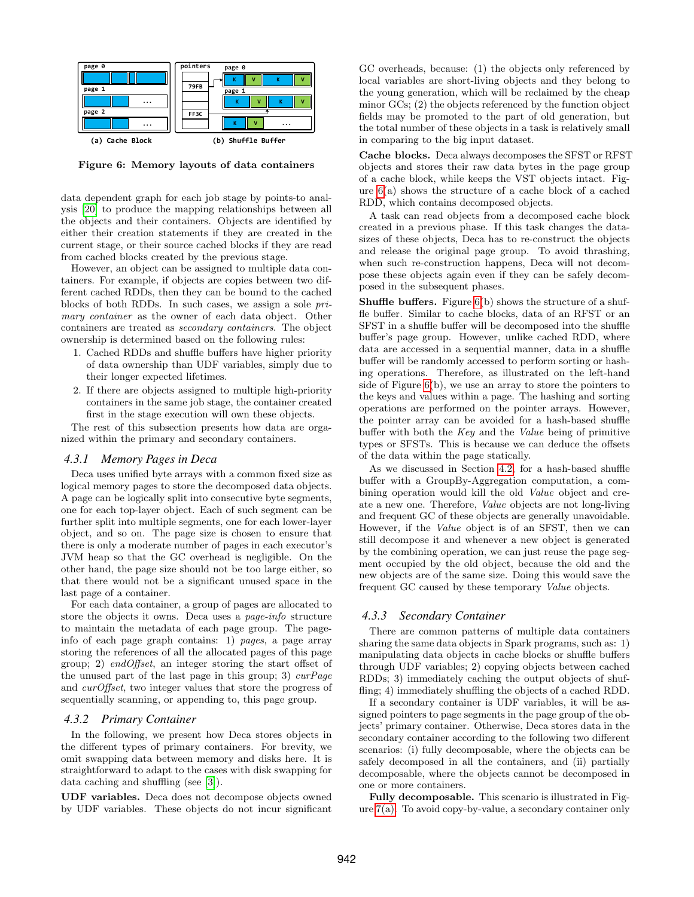

<span id="page-6-0"></span>Figure 6: Memory layouts of data containers

data dependent graph for each job stage by points-to analysis [\[20\]](#page-11-13) to produce the mapping relationships between all the objects and their containers. Objects are identified by either their creation statements if they are created in the current stage, or their source cached blocks if they are read from cached blocks created by the previous stage.

However, an object can be assigned to multiple data containers. For example, if objects are copies between two different cached RDDs, then they can be bound to the cached blocks of both RDDs. In such cases, we assign a sole primary container as the owner of each data object. Other containers are treated as secondary containers. The object ownership is determined based on the following rules:

- 1. Cached RDDs and shuffle buffers have higher priority of data ownership than UDF variables, simply due to their longer expected lifetimes.
- 2. If there are objects assigned to multiple high-priority containers in the same job stage, the container created first in the stage execution will own these objects.

The rest of this subsection presents how data are organized within the primary and secondary containers.

#### *4.3.1 Memory Pages in Deca*

Deca uses unified byte arrays with a common fixed size as logical memory pages to store the decomposed data objects. A page can be logically split into consecutive byte segments, one for each top-layer object. Each of such segment can be further split into multiple segments, one for each lower-layer object, and so on. The page size is chosen to ensure that there is only a moderate number of pages in each executor's JVM heap so that the GC overhead is negligible. On the other hand, the page size should not be too large either, so that there would not be a significant unused space in the last page of a container.

For each data container, a group of pages are allocated to store the objects it owns. Deca uses a page-info structure to maintain the metadata of each page group. The pageinfo of each page graph contains: 1) pages, a page array storing the references of all the allocated pages of this page group; 2) endOffset, an integer storing the start offset of the unused part of the last page in this group; 3)  $curPage$ and curOffset, two integer values that store the progress of sequentially scanning, or appending to, this page group.

#### *4.3.2 Primary Container*

In the following, we present how Deca stores objects in the different types of primary containers. For brevity, we omit swapping data between memory and disks here. It is straightforward to adapt to the cases with disk swapping for data caching and shuffling (see [\[3\]](#page-11-14)).

UDF variables. Deca does not decompose objects owned by UDF variables. These objects do not incur significant GC overheads, because: (1) the objects only referenced by local variables are short-living objects and they belong to the young generation, which will be reclaimed by the cheap minor GCs; (2) the objects referenced by the function object fields may be promoted to the part of old generation, but the total number of these objects in a task is relatively small in comparing to the big input dataset.

Cache blocks. Deca always decomposes the SFST or RFST objects and stores their raw data bytes in the page group of a cache block, while keeps the VST objects intact. Figure [6\(](#page-6-0)a) shows the structure of a cache block of a cached RDD, which contains decomposed objects.

A task can read objects from a decomposed cache block created in a previous phase. If this task changes the datasizes of these objects, Deca has to re-construct the objects and release the original page group. To avoid thrashing, when such re-construction happens, Deca will not decompose these objects again even if they can be safely decomposed in the subsequent phases.

**Shuffle buffers.** Figure  $6(b)$  shows the structure of a shuffle buffer. Similar to cache blocks, data of an RFST or an SFST in a shuffle buffer will be decomposed into the shuffle buffer's page group. However, unlike cached RDD, where data are accessed in a sequential manner, data in a shuffle buffer will be randomly accessed to perform sorting or hashing operations. Therefore, as illustrated on the left-hand side of Figure [6\(](#page-6-0)b), we use an array to store the pointers to the keys and values within a page. The hashing and sorting operations are performed on the pointer arrays. However, the pointer array can be avoided for a hash-based shuffle buffer with both the Key and the Value being of primitive types or SFSTs. This is because we can deduce the offsets of the data within the page statically.

As we discussed in Section [4.2,](#page-5-1) for a hash-based shuffle buffer with a GroupBy-Aggregation computation, a combining operation would kill the old Value object and create a new one. Therefore, Value objects are not long-living and frequent GC of these objects are generally unavoidable. However, if the Value object is of an SFST, then we can still decompose it and whenever a new object is generated by the combining operation, we can just reuse the page segment occupied by the old object, because the old and the new objects are of the same size. Doing this would save the frequent GC caused by these temporary Value objects.

#### *4.3.3 Secondary Container*

There are common patterns of multiple data containers sharing the same data objects in Spark programs, such as: 1) manipulating data objects in cache blocks or shuffle buffers through UDF variables; 2) copying objects between cached RDDs; 3) immediately caching the output objects of shuffling; 4) immediately shuffling the objects of a cached RDD.

If a secondary container is UDF variables, it will be assigned pointers to page segments in the page group of the objects' primary container. Otherwise, Deca stores data in the secondary container according to the following two different scenarios: (i) fully decomposable, where the objects can be safely decomposed in all the containers, and (ii) partially decomposable, where the objects cannot be decomposed in one or more containers.

Fully decomposable. This scenario is illustrated in Figure [7\(a\).](#page-7-1) To avoid copy-by-value, a secondary container only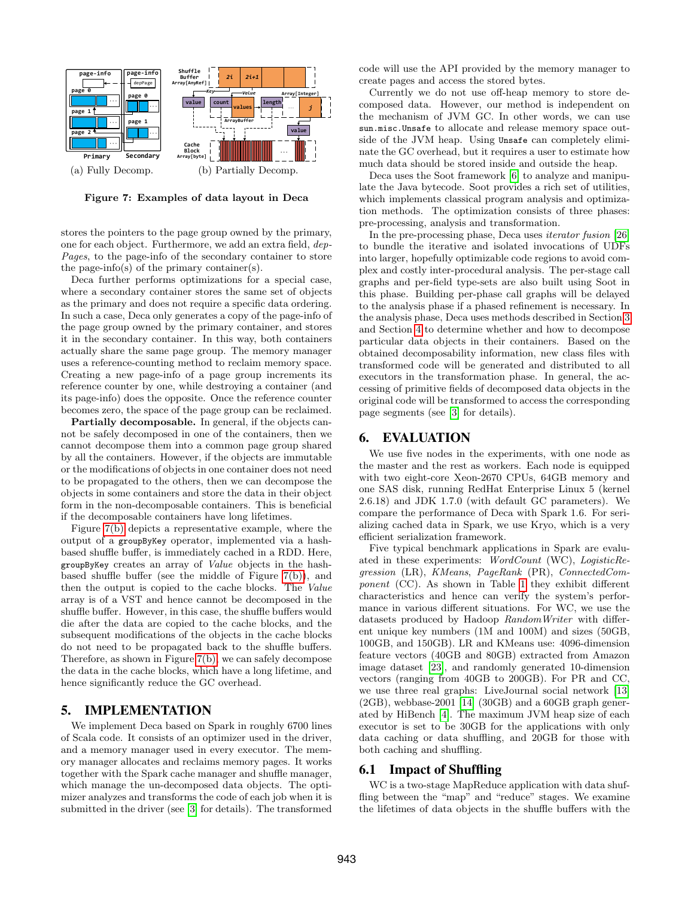<span id="page-7-1"></span>

<span id="page-7-2"></span>Figure 7: Examples of data layout in Deca

stores the pointers to the page group owned by the primary, one for each object. Furthermore, we add an extra field, dep-Pages, to the page-info of the secondary container to store the page-info(s) of the primary container(s).

Deca further performs optimizations for a special case, where a secondary container stores the same set of objects as the primary and does not require a specific data ordering. In such a case, Deca only generates a copy of the page-info of the page group owned by the primary container, and stores it in the secondary container. In this way, both containers actually share the same page group. The memory manager uses a reference-counting method to reclaim memory space. Creating a new page-info of a page group increments its reference counter by one, while destroying a container (and its page-info) does the opposite. Once the reference counter becomes zero, the space of the page group can be reclaimed.

Partially decomposable. In general, if the objects cannot be safely decomposed in one of the containers, then we cannot decompose them into a common page group shared by all the containers. However, if the objects are immutable or the modifications of objects in one container does not need to be propagated to the others, then we can decompose the objects in some containers and store the data in their object form in the non-decomposable containers. This is beneficial if the decomposable containers have long lifetimes.

Figure [7\(b\)](#page-7-2) depicts a representative example, where the output of a groupByKey operator, implemented via a hashbased shuffle buffer, is immediately cached in a RDD. Here, groupByKey creates an array of Value objects in the hashbased shuffle buffer (see the middle of Figure [7\(b\)\)](#page-7-2), and then the output is copied to the cache blocks. The Value array is of a VST and hence cannot be decomposed in the shuffle buffer. However, in this case, the shuffle buffers would die after the data are copied to the cache blocks, and the subsequent modifications of the objects in the cache blocks do not need to be propagated back to the shuffle buffers. Therefore, as shown in Figure [7\(b\),](#page-7-2) we can safely decompose the data in the cache blocks, which have a long lifetime, and hence significantly reduce the GC overhead.

### <span id="page-7-0"></span>5. IMPLEMENTATION

We implement Deca based on Spark in roughly 6700 lines of Scala code. It consists of an optimizer used in the driver, and a memory manager used in every executor. The memory manager allocates and reclaims memory pages. It works together with the Spark cache manager and shuffle manager, which manage the un-decomposed data objects. The optimizer analyzes and transforms the code of each job when it is submitted in the driver (see [\[3\]](#page-11-14) for details). The transformed

code will use the API provided by the memory manager to create pages and access the stored bytes.

Currently we do not use off-heap memory to store decomposed data. However, our method is independent on the mechanism of JVM GC. In other words, we can use sun.misc.Unsafe to allocate and release memory space outside of the JVM heap. Using Unsafe can completely eliminate the GC overhead, but it requires a user to estimate how much data should be stored inside and outside the heap.

Deca uses the Soot framework [\[6\]](#page-11-15) to analyze and manipulate the Java bytecode. Soot provides a rich set of utilities, which implements classical program analysis and optimization methods. The optimization consists of three phases: pre-processing, analysis and transformation.

In the pre-processing phase, Deca uses iterator fusion [\[26\]](#page-11-16) to bundle the iterative and isolated invocations of UDFs into larger, hopefully optimizable code regions to avoid complex and costly inter-procedural analysis. The per-stage call graphs and per-field type-sets are also built using Soot in this phase. Building per-phase call graphs will be delayed to the analysis phase if a phased refinement is necessary. In the analysis phase, Deca uses methods described in Section [3](#page-2-0) and Section [4](#page-5-2) to determine whether and how to decompose particular data objects in their containers. Based on the obtained decomposability information, new class files with transformed code will be generated and distributed to all executors in the transformation phase. In general, the accessing of primitive fields of decomposed data objects in the original code will be transformed to access the corresponding page segments (see [\[3\]](#page-11-14) for details).

### 6. EVALUATION

We use five nodes in the experiments, with one node as the master and the rest as workers. Each node is equipped with two eight-core Xeon-2670 CPUs, 64GB memory and one SAS disk, running RedHat Enterprise Linux 5 (kernel 2.6.18) and JDK 1.7.0 (with default GC parameters). We compare the performance of Deca with Spark 1.6. For serializing cached data in Spark, we use Kryo, which is a very efficient serialization framework.

Five typical benchmark applications in Spark are evaluated in these experiments: WordCount (WC), LogisticRegression (LR), KMeans, PageRank (PR), ConnectedComponent (CC). As shown in Table [1](#page-8-0) they exhibit different characteristics and hence can verify the system's performance in various different situations. For WC, we use the datasets produced by Hadoop RandomWriter with different unique key numbers (1M and 100M) and sizes (50GB, 100GB, and 150GB). LR and KMeans use: 4096-dimension feature vectors (40GB and 80GB) extracted from Amazon image dataset [\[23\]](#page-11-17), and randomly generated 10-dimension vectors (ranging from 40GB to 200GB). For PR and CC, we use three real graphs: LiveJournal social network [\[13\]](#page-11-18)  $(2GB)$ , webbase-2001 [\[14\]](#page-11-19)  $(30GB)$  and a 60GB graph generated by HiBench [\[4\]](#page-11-20). The maximum JVM heap size of each executor is set to be 30GB for the applications with only data caching or data shuffling, and 20GB for those with both caching and shuffling.

### 6.1 Impact of Shuffling

WC is a two-stage MapReduce application with data shuffling between the "map" and "reduce" stages. We examine the lifetimes of data objects in the shuffle buffers with the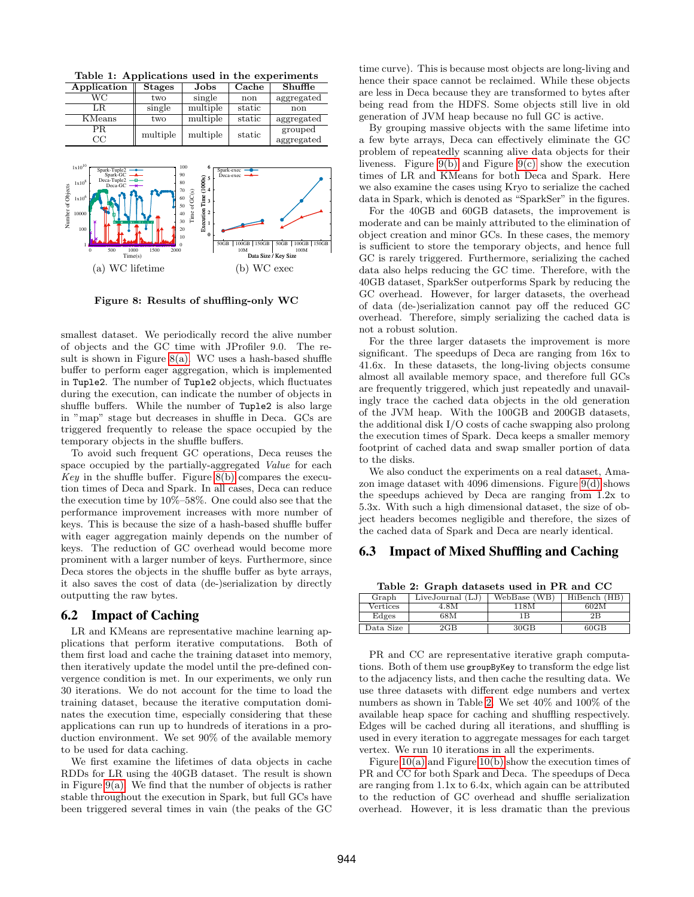<span id="page-8-0"></span>Table 1: Applications used in the experiments

| Application | <b>Stages</b> | Jobs     | Cache  | Shuffle               |
|-------------|---------------|----------|--------|-----------------------|
| WС          | two           | single   | non    | aggregated            |
| LR          | single        | multiple | static | non                   |
| KMeans      | two           | multiple | static | aggregated            |
| PR.<br>CC   | multiple      | multiple | static | grouped<br>aggregated |

<span id="page-8-1"></span>

<span id="page-8-2"></span>Figure 8: Results of shuffling-only WC

smallest dataset. We periodically record the alive number of objects and the GC time with JProfiler 9.0. The result is shown in Figure  $8(a)$ . WC uses a hash-based shuffle buffer to perform eager aggregation, which is implemented in Tuple2. The number of Tuple2 objects, which fluctuates during the execution, can indicate the number of objects in shuffle buffers. While the number of Tuple2 is also large in "map" stage but decreases in shuffle in Deca. GCs are triggered frequently to release the space occupied by the temporary objects in the shuffle buffers.

To avoid such frequent GC operations, Deca reuses the space occupied by the partially-aggregated Value for each Key in the shuffle buffer. Figure  $8(b)$  compares the execution times of Deca and Spark. In all cases, Deca can reduce the execution time by 10%–58%. One could also see that the performance improvement increases with more number of keys. This is because the size of a hash-based shuffle buffer with eager aggregation mainly depends on the number of keys. The reduction of GC overhead would become more prominent with a larger number of keys. Furthermore, since Deca stores the objects in the shuffle buffer as byte arrays, it also saves the cost of data (de-)serialization by directly outputting the raw bytes.

### 6.2 Impact of Caching

LR and KMeans are representative machine learning applications that perform iterative computations. Both of them first load and cache the training dataset into memory, then iteratively update the model until the pre-defined convergence condition is met. In our experiments, we only run 30 iterations. We do not account for the time to load the training dataset, because the iterative computation dominates the execution time, especially considering that these applications can run up to hundreds of iterations in a production environment. We set 90% of the available memory to be used for data caching.

We first examine the lifetimes of data objects in cache RDDs for LR using the 40GB dataset. The result is shown in Figure  $9(a)$ . We find that the number of objects is rather stable throughout the execution in Spark, but full GCs have been triggered several times in vain (the peaks of the GC time curve). This is because most objects are long-living and hence their space cannot be reclaimed. While these objects are less in Deca because they are transformed to bytes after being read from the HDFS. Some objects still live in old generation of JVM heap because no full GC is active.

By grouping massive objects with the same lifetime into a few byte arrays, Deca can effectively eliminate the GC problem of repeatedly scanning alive data objects for their liveness. Figure [9\(b\)](#page-9-1) and Figure [9\(c\)](#page-9-2) show the execution times of LR and KMeans for both Deca and Spark. Here we also examine the cases using Kryo to serialize the cached data in Spark, which is denoted as "SparkSer" in the figures.

For the 40GB and 60GB datasets, the improvement is moderate and can be mainly attributed to the elimination of object creation and minor GCs. In these cases, the memory is sufficient to store the temporary objects, and hence full GC is rarely triggered. Furthermore, serializing the cached data also helps reducing the GC time. Therefore, with the 40GB dataset, SparkSer outperforms Spark by reducing the GC overhead. However, for larger datasets, the overhead of data (de-)serialization cannot pay off the reduced GC overhead. Therefore, simply serializing the cached data is not a robust solution.

For the three larger datasets the improvement is more significant. The speedups of Deca are ranging from 16x to 41.6x. In these datasets, the long-living objects consume almost all available memory space, and therefore full GCs are frequently triggered, which just repeatedly and unavailingly trace the cached data objects in the old generation of the JVM heap. With the 100GB and 200GB datasets, the additional disk I/O costs of cache swapping also prolong the execution times of Spark. Deca keeps a smaller memory footprint of cached data and swap smaller portion of data to the disks.

We also conduct the experiments on a real dataset, Amazon image dataset with 4096 dimensions. Figure [9\(d\)](#page-9-3) shows the speedups achieved by Deca are ranging from 1.2x to 5.3x. With such a high dimensional dataset, the size of object headers becomes negligible and therefore, the sizes of the cached data of Spark and Deca are nearly identical.

## 6.3 Impact of Mixed Shuffling and Caching

<span id="page-8-3"></span>Table 2: Graph datasets used in PR and CC

| Graph     | LiveJournal (LJ) | WebBase (WB) | HiBench (HB) |  |  |  |  |
|-----------|------------------|--------------|--------------|--|--|--|--|
| Vertices  | 4.8M             | 118M         | 602M         |  |  |  |  |
| Edges     | 68M              | 1B           | 2B.          |  |  |  |  |
| Data Size | 2GB              | 30GB         | 60GB.        |  |  |  |  |
|           |                  |              |              |  |  |  |  |

PR and CC are representative iterative graph computations. Both of them use groupByKey to transform the edge list to the adjacency lists, and then cache the resulting data. We use three datasets with different edge numbers and vertex numbers as shown in Table [2.](#page-8-3) We set 40% and 100% of the available heap space for caching and shuffling respectively. Edges will be cached during all iterations, and shuffling is used in every iteration to aggregate messages for each target vertex. We run 10 iterations in all the experiments.

Figure [10\(a\)](#page-9-4) and Figure [10\(b\)](#page-9-5) show the execution times of PR and CC for both Spark and Deca. The speedups of Deca are ranging from 1.1x to 6.4x, which again can be attributed to the reduction of GC overhead and shuffle serialization overhead. However, it is less dramatic than the previous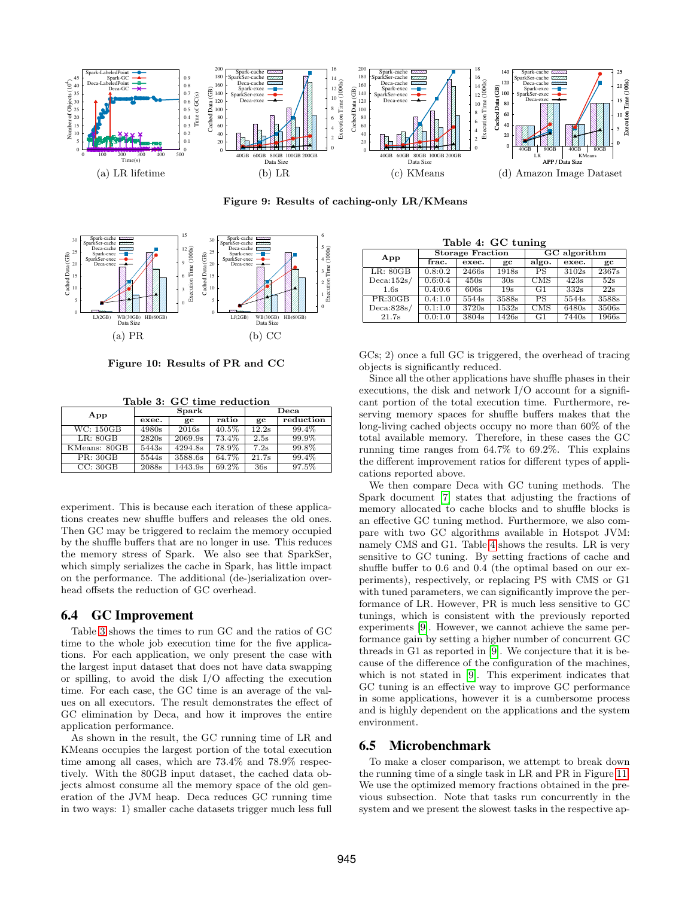<span id="page-9-0"></span>

<span id="page-9-1"></span>Figure 9: Results of caching-only LR/KMeans

<span id="page-9-4"></span>

<span id="page-9-5"></span>Figure 10: Results of PR and CC

<span id="page-9-6"></span>Table 3: GC time reduction

| App             | Spark |               |       | Deca          |           |  |
|-----------------|-------|---------------|-------|---------------|-----------|--|
|                 | exec. | $\mathbf{gc}$ | ratio | $\mathbf{gc}$ | reduction |  |
| WC: 150GB       | 4980s | 2016s         | 40.5% | 12.2s         | 99.4%     |  |
| LR: 80GB        | 2820s | 2069.9s       | 73.4% | 2.5s          | 99.9%     |  |
| KMeans: 80GB    | 5443s | 4294.8s       | 78.9% | 7.2s          | 99.8%     |  |
| <b>PR: 30GB</b> | 5544s | 3588.6s       | 64.7% | 21.7s         | 99.4%     |  |
| CC: 30GB        | 2088s | 1443.9s       | 69.2% | 36s           | 97.5%     |  |

experiment. This is because each iteration of these applications creates new shuffle buffers and releases the old ones. Then GC may be triggered to reclaim the memory occupied by the shuffle buffers that are no longer in use. This reduces the memory stress of Spark. We also see that SparkSer, which simply serializes the cache in Spark, has little impact on the performance. The additional (de-)serialization overhead offsets the reduction of GC overhead.

### 6.4 GC Improvement

Table [3](#page-9-6) shows the times to run GC and the ratios of GC time to the whole job execution time for the five applications. For each application, we only present the case with the largest input dataset that does not have data swapping or spilling, to avoid the disk I/O affecting the execution time. For each case, the GC time is an average of the values on all executors. The result demonstrates the effect of GC elimination by Deca, and how it improves the entire application performance.

As shown in the result, the GC running time of LR and KMeans occupies the largest portion of the total execution time among all cases, which are 73.4% and 78.9% respectively. With the 80GB input dataset, the cached data objects almost consume all the memory space of the old generation of the JVM heap. Deca reduces GC running time in two ways: 1) smaller cache datasets trigger much less full

<span id="page-9-7"></span><span id="page-9-3"></span>Table 4: GC tuning

<span id="page-9-2"></span>

| App        | <b>Storage Fraction</b> |       |               | GC algorithm              |       |             |
|------------|-------------------------|-------|---------------|---------------------------|-------|-------------|
|            | frac.                   | exec. | $\mathbf{gc}$ | algo.                     | exec. | $_{\rm gc}$ |
| LR: 80GB   | 0.8:0.2                 | 2466s | 1918s         | PS                        | 3102s | 2367s       |
| Deca:152s/ | 0.6:0.4                 | 450s  | 30s           | $\overline{\mathrm{CMS}}$ | 423s  | 52s         |
| 1.6s       | 0.4:0.6                 | 606s  | 19s           | G1                        | 332s  | 22s         |
| PR:30GB    | 0.4:1.0                 | 5544s | 3588s         | $\overline{PS}$           | 5544s | 3588s       |
| Deca:828s/ | 0.1:1.0                 | 3720s | 1532s         | $\overline{\mathrm{CMS}}$ | 6480s | 3506s       |
| 21.7s      | 0.0:1.0                 | 3804s | 1426s         | G <sub>1</sub>            | 7440s | 1966s       |

GCs; 2) once a full GC is triggered, the overhead of tracing objects is significantly reduced.

Since all the other applications have shuffle phases in their executions, the disk and network I/O account for a significant portion of the total execution time. Furthermore, reserving memory spaces for shuffle buffers makes that the long-living cached objects occupy no more than 60% of the total available memory. Therefore, in these cases the GC running time ranges from 64.7% to 69.2%. This explains the different improvement ratios for different types of applications reported above.

We then compare Deca with GC tuning methods. The Spark document [\[7\]](#page-11-21) states that adjusting the fractions of memory allocated to cache blocks and to shuffle blocks is an effective GC tuning method. Furthermore, we also compare with two GC algorithms available in Hotspot JVM: namely CMS and G1. Table [4](#page-9-7) shows the results. LR is very sensitive to GC tuning. By setting fractions of cache and shuffle buffer to 0.6 and 0.4 (the optimal based on our experiments), respectively, or replacing PS with CMS or G1 with tuned parameters, we can significantly improve the performance of LR. However, PR is much less sensitive to GC tunings, which is consistent with the previously reported experiments [\[9\]](#page-11-22). However, we cannot achieve the same performance gain by setting a higher number of concurrent GC threads in G1 as reported in [\[9\]](#page-11-22). We conjecture that it is because of the difference of the configuration of the machines, which is not stated in [\[9\]](#page-11-22). This experiment indicates that GC tuning is an effective way to improve GC performance in some applications, however it is a cumbersome process and is highly dependent on the applications and the system environment.

### 6.5 Microbenchmark

To make a closer comparison, we attempt to break down the running time of a single task in LR and PR in Figure [11.](#page-10-0) We use the optimized memory fractions obtained in the previous subsection. Note that tasks run concurrently in the system and we present the slowest tasks in the respective ap-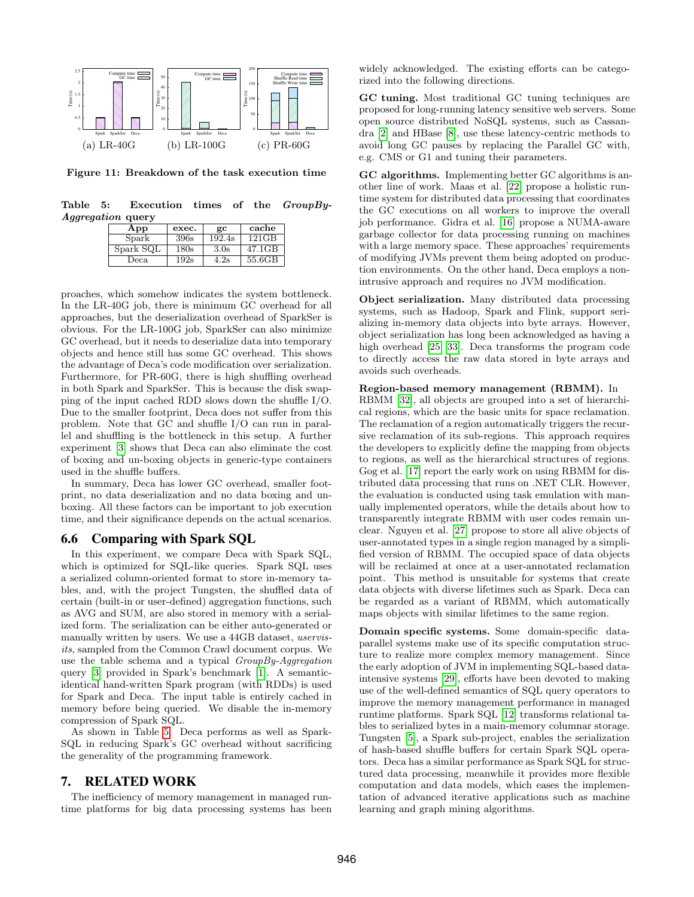

<span id="page-10-0"></span>Figure 11: Breakdown of the task execution time

Table 5: Execution times of the GroupBy-Aggregation query

<span id="page-10-1"></span>

| App       | exec. | gc               | cache  |
|-----------|-------|------------------|--------|
| Spark     | 396s  | 192.4s           | 121GB  |
| Spark SQL | 180s  | 3.0 <sub>s</sub> | 47.1GB |
| Deca      | 192s  | 4.2s             | 55.6GB |

proaches, which somehow indicates the system bottleneck. In the LR-40G job, there is minimum GC overhead for all approaches, but the deserialization overhead of SparkSer is obvious. For the LR-100G job, SparkSer can also minimize GC overhead, but it needs to deserialize data into temporary objects and hence still has some GC overhead. This shows the advantage of Deca's code modification over serialization. Furthermore, for PR-60G, there is high shuffling overhead in both Spark and SparkSer. This is because the disk swapping of the input cached RDD slows down the shuffle I/O. Due to the smaller footprint, Deca does not suffer from this problem. Note that GC and shuffle I/O can run in parallel and shuffling is the bottleneck in this setup. A further experiment [\[3\]](#page-11-14) shows that Deca can also eliminate the cost of boxing and un-boxing objects in generic-type containers used in the shuffle buffers.

In summary, Deca has lower GC overhead, smaller footprint, no data deserialization and no data boxing and unboxing. All these factors can be important to job execution time, and their significance depends on the actual scenarios.

### 6.6 Comparing with Spark SQL

In this experiment, we compare Deca with Spark SQL, which is optimized for SQL-like queries. Spark SQL uses a serialized column-oriented format to store in-memory tables, and, with the project Tungsten, the shuffled data of certain (built-in or user-defined) aggregation functions, such as AVG and SUM, are also stored in memory with a serialized form. The serialization can be either auto-generated or manually written by users. We use a 44GB dataset, uservisits, sampled from the Common Crawl document corpus. We use the table schema and a typical GroupBy-Aggregation query [\[3\]](#page-11-14) provided in Spark's benchmark [\[1\]](#page-11-23). A semanticidentical hand-written Spark program (with RDDs) is used for Spark and Deca. The input table is entirely cached in memory before being queried. We disable the in-memory compression of Spark SQL.

As shown in Table [5.](#page-10-1) Deca performs as well as Spark-SQL in reducing Spark's GC overhead without sacrificing the generality of the programming framework.

### 7. RELATED WORK

The inefficiency of memory management in managed runtime platforms for big data processing systems has been widely acknowledged. The existing efforts can be categorized into the following directions.

GC tuning. Most traditional GC tuning techniques are proposed for long-running latency sensitive web servers. Some open source distributed NoSQL systems, such as Cassandra [\[2\]](#page-11-24) and HBase [\[8\]](#page-11-25), use these latency-centric methods to avoid long GC pauses by replacing the Parallel GC with, e.g. CMS or G1 and tuning their parameters.

GC algorithms. Implementing better GC algorithms is another line of work. Maas et al. [\[22\]](#page-11-26) propose a holistic runtime system for distributed data processing that coordinates the GC executions on all workers to improve the overall job performance. Gidra et al. [\[16\]](#page-11-27) propose a NUMA-aware garbage collector for data processing running on machines with a large memory space. These approaches' requirements of modifying JVMs prevent them being adopted on production environments. On the other hand, Deca employs a nonintrusive approach and requires no JVM modification.

Object serialization. Many distributed data processing systems, such as Hadoop, Spark and Flink, support serializing in-memory data objects into byte arrays. However, object serialization has long been acknowledged as having a high overhead [\[25,](#page-11-28) [33\]](#page-11-29). Deca transforms the program code to directly access the raw data stored in byte arrays and avoids such overheads.

Region-based memory management (RBMM). In

RBMM [\[32\]](#page-11-30), all objects are grouped into a set of hierarchical regions, which are the basic units for space reclamation. The reclamation of a region automatically triggers the recursive reclamation of its sub-regions. This approach requires the developers to explicitly define the mapping from objects to regions, as well as the hierarchical structures of regions. Gog et al. [\[17\]](#page-11-31) report the early work on using RBMM for distributed data processing that runs on .NET CLR. However, the evaluation is conducted using task emulation with manually implemented operators, while the details about how to transparently integrate RBMM with user codes remain unclear. Nguyen et al. [\[27\]](#page-11-32) propose to store all alive objects of user-annotated types in a single region managed by a simplified version of RBMM. The occupied space of data objects will be reclaimed at once at a user-annotated reclamation point. This method is unsuitable for systems that create data objects with diverse lifetimes such as Spark. Deca can be regarded as a variant of RBMM, which automatically maps objects with similar lifetimes to the same region.

Domain specific systems. Some domain-specific dataparallel systems make use of its specific computation structure to realize more complex memory management. Since the early adoption of JVM in implementing SQL-based dataintensive systems [\[29\]](#page-11-33), efforts have been devoted to making use of the well-defined semantics of SQL query operators to improve the memory management performance in managed runtime platforms. Spark SQL [\[12\]](#page-11-34) transforms relational tables to serialized bytes in a main-memory columnar storage. Tungsten [\[5\]](#page-11-6), a Spark sub-project, enables the serialization of hash-based shuffle buffers for certain Spark SQL operators. Deca has a similar performance as Spark SQL for structured data processing, meanwhile it provides more flexible computation and data models, which eases the implementation of advanced iterative applications such as machine learning and graph mining algorithms.